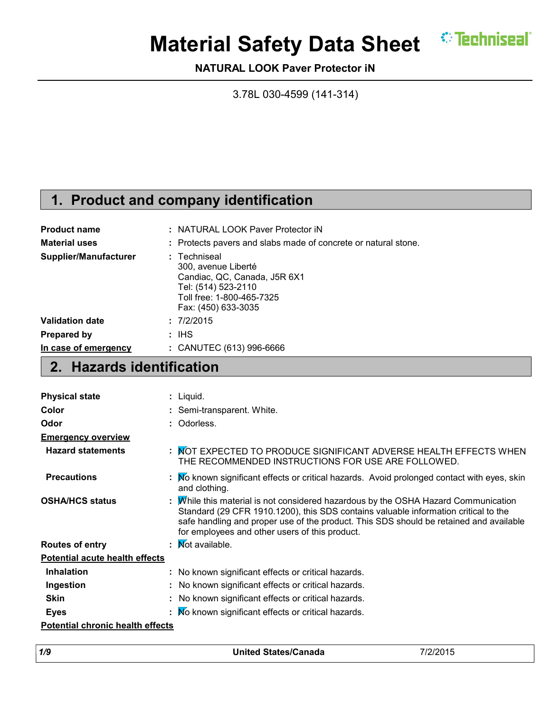

# **Material Safety Data Sheet CEPE MEET IN STRAIN**

**NATURAL LOOK Paver Protector iN**

3.78L 030-4599 (141-314)

## **1. Product and company identification**

| <b>Product name</b>    | : NATURAL LOOK Paver Protector iN                                                                                                              |
|------------------------|------------------------------------------------------------------------------------------------------------------------------------------------|
| <b>Material uses</b>   | : Protects pavers and slabs made of concrete or natural stone.                                                                                 |
| Supplier/Manufacturer  | : Techniseal<br>300, avenue Liberté<br>Candiac, QC, Canada, J5R 6X1<br>Tel: (514) 523-2110<br>Toll free: 1-800-465-7325<br>Fax: (450) 633-3035 |
| <b>Validation date</b> | : 7/2/2015                                                                                                                                     |
| <b>Prepared by</b>     | : IHS                                                                                                                                          |
| In case of emergency   | : CANUTEC (613) 996-6666                                                                                                                       |

### **2. Hazards identification**

| <b>Physical state</b>                   | : Liquid.                                                                                                                                                                                                                                                                                                             |
|-----------------------------------------|-----------------------------------------------------------------------------------------------------------------------------------------------------------------------------------------------------------------------------------------------------------------------------------------------------------------------|
| Color                                   | : Semi-transparent. White.                                                                                                                                                                                                                                                                                            |
| Odor                                    | : Odorless.                                                                                                                                                                                                                                                                                                           |
| <b>Emergency overview</b>               |                                                                                                                                                                                                                                                                                                                       |
| <b>Hazard statements</b>                | : MOT EXPECTED TO PRODUCE SIGNIFICANT ADVERSE HEALTH EFFECTS WHEN<br>THE RECOMMENDED INSTRUCTIONS FOR USE ARE FOLLOWED.                                                                                                                                                                                               |
| <b>Precautions</b>                      | : No known significant effects or critical hazards. Avoid prolonged contact with eyes, skin<br>and clothing.                                                                                                                                                                                                          |
| <b>OSHA/HCS status</b>                  | : Mhile this material is not considered hazardous by the OSHA Hazard Communication<br>Standard (29 CFR 1910.1200), this SDS contains valuable information critical to the<br>safe handling and proper use of the product. This SDS should be retained and available<br>for employees and other users of this product. |
| <b>Routes of entry</b>                  | : Mot available.                                                                                                                                                                                                                                                                                                      |
| <b>Potential acute health effects</b>   |                                                                                                                                                                                                                                                                                                                       |
| <b>Inhalation</b>                       | : No known significant effects or critical hazards.                                                                                                                                                                                                                                                                   |
| Ingestion                               | : No known significant effects or critical hazards.                                                                                                                                                                                                                                                                   |
| <b>Skin</b>                             | : No known significant effects or critical hazards.                                                                                                                                                                                                                                                                   |
| <b>Eyes</b>                             | : No known significant effects or critical hazards.                                                                                                                                                                                                                                                                   |
| <b>Potential chronic health effects</b> |                                                                                                                                                                                                                                                                                                                       |

| 1/9 | <b>United States/Canada</b> | /2/2015 |
|-----|-----------------------------|---------|
|     |                             |         |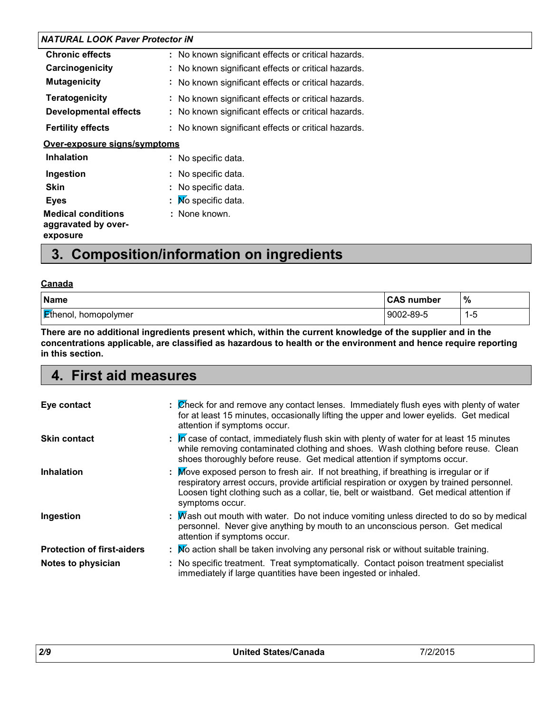| : No known significant effects or critical hazards. |
|-----------------------------------------------------|
| : No known significant effects or critical hazards. |
| : No known significant effects or critical hazards. |
| : No known significant effects or critical hazards. |
| : No known significant effects or critical hazards. |
| : No known significant effects or critical hazards. |
| Over-exposure signs/symptoms                        |
| : No specific data.                                 |
| : No specific data.                                 |
| : No specific data.                                 |
| $\mathbf{N}$ Mo specific data.                      |
| : None known.                                       |
|                                                     |

### **3. Composition/information on ingredients**

#### **Canada**

| <b>Name</b>                 | <b>CAS number</b> | $\%$ |
|-----------------------------|-------------------|------|
| <b>Ethenol, homopolymer</b> | 9002-89-5         | I -ხ |

**There are no additional ingredients present which, within the current knowledge of the supplier and in the concentrations applicable, are classified as hazardous to health or the environment and hence require reporting in this section.**

### **4. First aid measures**

| Eye contact                       | : Check for and remove any contact lenses. Immediately flush eyes with plenty of water<br>for at least 15 minutes, occasionally lifting the upper and lower eyelids. Get medical<br>attention if symptoms occur.                                                                                |
|-----------------------------------|-------------------------------------------------------------------------------------------------------------------------------------------------------------------------------------------------------------------------------------------------------------------------------------------------|
| <b>Skin contact</b>               | : In case of contact, immediately flush skin with plenty of water for at least 15 minutes<br>while removing contaminated clothing and shoes. Wash clothing before reuse. Clean<br>shoes thoroughly before reuse. Get medical attention if symptoms occur.                                       |
| <b>Inhalation</b>                 | Move exposed person to fresh air. If not breathing, if breathing is irregular or if<br>respiratory arrest occurs, provide artificial respiration or oxygen by trained personnel.<br>Loosen tight clothing such as a collar, tie, belt or waistband. Get medical attention if<br>symptoms occur. |
| Ingestion                         | : Mash out mouth with water. Do not induce vomiting unless directed to do so by medical<br>personnel. Never give anything by mouth to an unconscious person. Get medical<br>attention if symptoms occur.                                                                                        |
| <b>Protection of first-aiders</b> | : No action shall be taken involving any personal risk or without suitable training.                                                                                                                                                                                                            |
| Notes to physician                | : No specific treatment. Treat symptomatically. Contact poison treatment specialist<br>immediately if large quantities have been ingested or inhaled.                                                                                                                                           |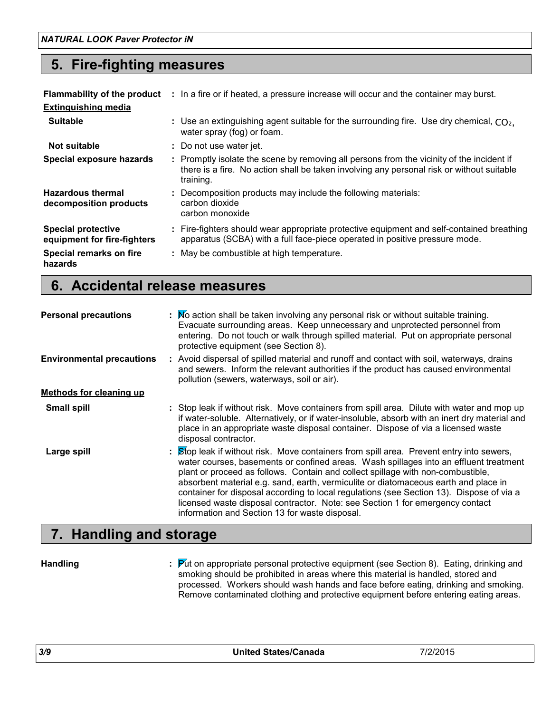### **5. Fire-fighting measures**

|                                                          | <b>Flammability of the product</b> : In a fire or if heated, a pressure increase will occur and the container may burst.                                                                            |
|----------------------------------------------------------|-----------------------------------------------------------------------------------------------------------------------------------------------------------------------------------------------------|
| <b>Extinguishing media</b>                               |                                                                                                                                                                                                     |
| <b>Suitable</b>                                          | : Use an extinguishing agent suitable for the surrounding fire. Use dry chemical, $CO2$ .<br>water spray (fog) or foam.                                                                             |
| Not suitable                                             | : Do not use water jet.                                                                                                                                                                             |
| Special exposure hazards                                 | : Promptly isolate the scene by removing all persons from the vicinity of the incident if<br>there is a fire. No action shall be taken involving any personal risk or without suitable<br>training. |
| <b>Hazardous thermal</b><br>decomposition products       | : Decomposition products may include the following materials:<br>carbon dioxide<br>carbon monoxide                                                                                                  |
| <b>Special protective</b><br>equipment for fire-fighters | : Fire-fighters should wear appropriate protective equipment and self-contained breathing<br>apparatus (SCBA) with a full face-piece operated in positive pressure mode.                            |
| Special remarks on fire<br>hazards                       | : May be combustible at high temperature.                                                                                                                                                           |

### **6. Accidental release measures**

| <b>Personal precautions</b>      | : Mo action shall be taken involving any personal risk or without suitable training.<br>Evacuate surrounding areas. Keep unnecessary and unprotected personnel from<br>entering. Do not touch or walk through spilled material. Put on appropriate personal<br>protective equipment (see Section 8).                                                                                                                                                                                                                                                                                       |
|----------------------------------|--------------------------------------------------------------------------------------------------------------------------------------------------------------------------------------------------------------------------------------------------------------------------------------------------------------------------------------------------------------------------------------------------------------------------------------------------------------------------------------------------------------------------------------------------------------------------------------------|
| <b>Environmental precautions</b> | : Avoid dispersal of spilled material and runoff and contact with soil, waterways, drains<br>and sewers. Inform the relevant authorities if the product has caused environmental<br>pollution (sewers, waterways, soil or air).                                                                                                                                                                                                                                                                                                                                                            |
| <b>Methods for cleaning up</b>   |                                                                                                                                                                                                                                                                                                                                                                                                                                                                                                                                                                                            |
| <b>Small spill</b>               | : Stop leak if without risk. Move containers from spill area. Dilute with water and mop up<br>if water-soluble. Alternatively, or if water-insoluble, absorb with an inert dry material and<br>place in an appropriate waste disposal container. Dispose of via a licensed waste<br>disposal contractor.                                                                                                                                                                                                                                                                                   |
| Large spill                      | : Stop leak if without risk. Move containers from spill area. Prevent entry into sewers,<br>water courses, basements or confined areas. Wash spillages into an effluent treatment<br>plant or proceed as follows. Contain and collect spillage with non-combustible,<br>absorbent material e.g. sand, earth, vermiculite or diatomaceous earth and place in<br>container for disposal according to local regulations (see Section 13). Dispose of via a<br>licensed waste disposal contractor. Note: see Section 1 for emergency contact<br>information and Section 13 for waste disposal. |

### **7. Handling and storage**

**Handling :**

Put on appropriate personal protective equipment (see Section 8). Eating, drinking and smoking should be prohibited in areas where this material is handled, stored and processed. Workers should wash hands and face before eating, drinking and smoking. Remove contaminated clothing and protective equipment before entering eating areas.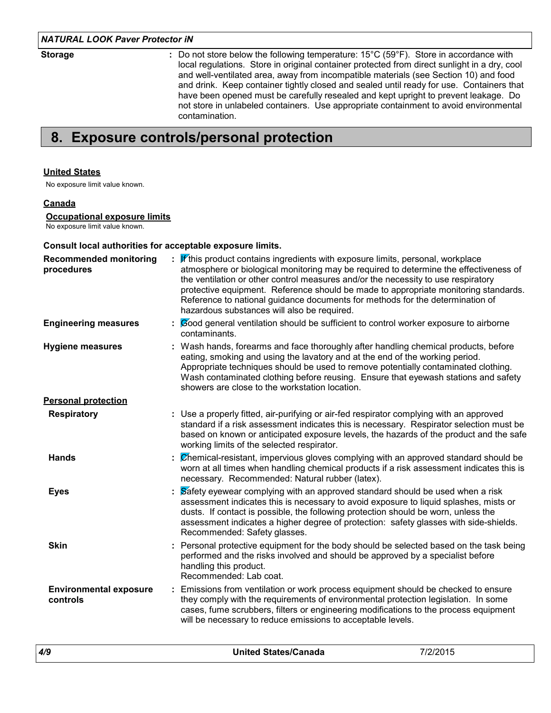**Storage :**

Do not store below the following temperature: 15°C (59°F). Store in accordance with local regulations. Store in original container protected from direct sunlight in a dry, cool and well-ventilated area, away from incompatible materials (see Section 10) and food and drink. Keep container tightly closed and sealed until ready for use. Containers that have been opened must be carefully resealed and kept upright to prevent leakage. Do not store in unlabeled containers. Use appropriate containment to avoid environmental contamination.

### **8. Exposure controls/personal protection**

#### **United States**

No exposure limit value known.

#### **Canada**

#### **Occupational exposure limits**

No exposure limit value known.

#### **Consult local authorities for acceptable exposure limits.**

| <b>Recommended monitoring</b><br>procedures | <b>If</b> this product contains ingredients with exposure limits, personal, workplace<br>atmosphere or biological monitoring may be required to determine the effectiveness of<br>the ventilation or other control measures and/or the necessity to use respiratory<br>protective equipment. Reference should be made to appropriate monitoring standards.<br>Reference to national guidance documents for methods for the determination of<br>hazardous substances will also be required. |  |
|---------------------------------------------|--------------------------------------------------------------------------------------------------------------------------------------------------------------------------------------------------------------------------------------------------------------------------------------------------------------------------------------------------------------------------------------------------------------------------------------------------------------------------------------------|--|
| <b>Engineering measures</b>                 | : Cood general ventilation should be sufficient to control worker exposure to airborne<br>contaminants.                                                                                                                                                                                                                                                                                                                                                                                    |  |
| <b>Hygiene measures</b>                     | : Wash hands, forearms and face thoroughly after handling chemical products, before<br>eating, smoking and using the lavatory and at the end of the working period.<br>Appropriate techniques should be used to remove potentially contaminated clothing.<br>Wash contaminated clothing before reusing. Ensure that eyewash stations and safety<br>showers are close to the workstation location.                                                                                          |  |
| <b>Personal protection</b>                  |                                                                                                                                                                                                                                                                                                                                                                                                                                                                                            |  |
| <b>Respiratory</b>                          | : Use a properly fitted, air-purifying or air-fed respirator complying with an approved<br>standard if a risk assessment indicates this is necessary. Respirator selection must be<br>based on known or anticipated exposure levels, the hazards of the product and the safe<br>working limits of the selected respirator.                                                                                                                                                                 |  |
| <b>Hands</b>                                | : Chemical-resistant, impervious gloves complying with an approved standard should be<br>worn at all times when handling chemical products if a risk assessment indicates this is<br>necessary. Recommended: Natural rubber (latex).                                                                                                                                                                                                                                                       |  |
| <b>Eyes</b>                                 | Safety eyewear complying with an approved standard should be used when a risk<br>assessment indicates this is necessary to avoid exposure to liquid splashes, mists or<br>dusts. If contact is possible, the following protection should be worn, unless the<br>assessment indicates a higher degree of protection: safety glasses with side-shields.<br>Recommended: Safety glasses.                                                                                                      |  |
| <b>Skin</b>                                 | : Personal protective equipment for the body should be selected based on the task being<br>performed and the risks involved and should be approved by a specialist before<br>handling this product.<br>Recommended: Lab coat.                                                                                                                                                                                                                                                              |  |
| <b>Environmental exposure</b><br>controls   | : Emissions from ventilation or work process equipment should be checked to ensure<br>they comply with the requirements of environmental protection legislation. In some<br>cases, fume scrubbers, filters or engineering modifications to the process equipment<br>will be necessary to reduce emissions to acceptable levels.                                                                                                                                                            |  |
|                                             |                                                                                                                                                                                                                                                                                                                                                                                                                                                                                            |  |

|  | 4/9 | <b>United States/Canada</b> | 7/2/204<br>72015 |
|--|-----|-----------------------------|------------------|
|--|-----|-----------------------------|------------------|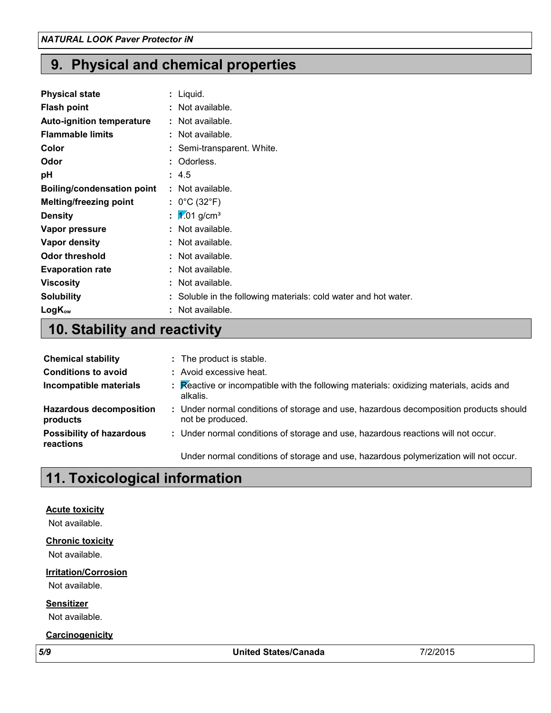### **9. Physical and chemical properties**

| <b>Physical state</b>             | : Liquid.                                                       |
|-----------------------------------|-----------------------------------------------------------------|
| <b>Flash point</b>                | : Not available.                                                |
| Auto-ignition temperature         | : Not available.                                                |
| <b>Flammable limits</b>           | : Not available.                                                |
| Color                             | : Semi-transparent. White.                                      |
| Odor                              | : Odorless.                                                     |
| рH                                | : 4.5                                                           |
| <b>Boiling/condensation point</b> | : Not available.                                                |
| <b>Melting/freezing point</b>     | : $0^{\circ}$ C (32 $^{\circ}$ F)                               |
| <b>Density</b>                    | : $\sqrt{2.01}$ g/cm <sup>3</sup>                               |
| Vapor pressure                    | : Not available.                                                |
| Vapor density                     | : Not available.                                                |
| <b>Odor threshold</b>             | : Not available.                                                |
| <b>Evaporation rate</b>           | : Not available.                                                |
| <b>Viscosity</b>                  | : Not available.                                                |
| <b>Solubility</b>                 | : Soluble in the following materials: cold water and hot water. |
| $LogK_{ow}$                       | : Not available.                                                |

## **10. Stability and reactivity**

| <b>Chemical stability</b>                    | : The product is stable.                                                                                  |
|----------------------------------------------|-----------------------------------------------------------------------------------------------------------|
| <b>Conditions to avoid</b>                   | : Avoid excessive heat.                                                                                   |
| Incompatible materials                       | : Reactive or incompatible with the following materials: oxidizing materials, acids and<br>alkalis.       |
| <b>Hazardous decomposition</b><br>products   | : Under normal conditions of storage and use, hazardous decomposition products should<br>not be produced. |
| <b>Possibility of hazardous</b><br>reactions | : Under normal conditions of storage and use, hazardous reactions will not occur.                         |
|                                              | Under normal conditions of storage and use, hazardous polymerization will not occur.                      |

### **11. Toxicological information**

#### **Acute toxicity**

Not available.

#### **Chronic toxicity**

Not available.

### **Irritation/Corrosion**

Not available.

**Sensitizer**

Not available.

#### **Carcinogenicity**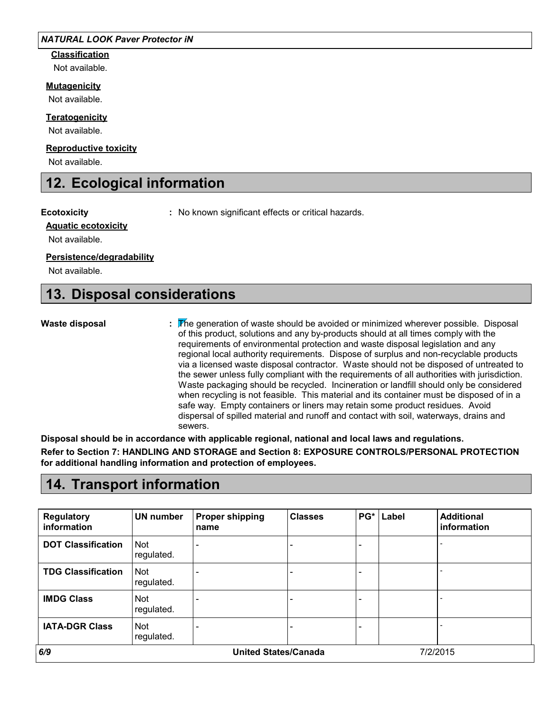**Classification**

### Not available.

### **Mutagenicity**

Not available.

#### **Teratogenicity**

Not available.

#### **Reproductive toxicity**

Not available.

### **12. Ecological information**

**Ecotoxicity :** No known significant effects or critical hazards.

#### **Aquatic ecotoxicity**

Not available.

#### **Persistence/degradability**

Not available.

### **13. Disposal considerations**

#### **Waste disposal**

The generation of waste should be avoided or minimized wherever possible. Disposal **:** of this product, solutions and any by-products should at all times comply with the requirements of environmental protection and waste disposal legislation and any regional local authority requirements. Dispose of surplus and non-recyclable products via a licensed waste disposal contractor. Waste should not be disposed of untreated to the sewer unless fully compliant with the requirements of all authorities with jurisdiction. Waste packaging should be recycled. Incineration or landfill should only be considered when recycling is not feasible. This material and its container must be disposed of in a safe way. Empty containers or liners may retain some product residues. Avoid dispersal of spilled material and runoff and contact with soil, waterways, drains and sewers.

**Disposal should be in accordance with applicable regional, national and local laws and regulations. Refer to Section 7: HANDLING AND STORAGE and Section 8: EXPOSURE CONTROLS/PERSONAL PROTECTION for additional handling information and protection of employees.**

### **14. Transport information**

| <b>Regulatory</b><br>information | UN number                | <b>Proper shipping</b><br>name | <b>Classes</b> | $PG*$ | Label | <b>Additional</b><br>information |
|----------------------------------|--------------------------|--------------------------------|----------------|-------|-------|----------------------------------|
| <b>DOT Classification</b>        | Not<br>regulated.        |                                |                |       |       |                                  |
| <b>TDG Classification</b>        | Not<br>regulated.        |                                |                |       |       |                                  |
| <b>IMDG Class</b>                | <b>Not</b><br>regulated. |                                |                |       |       |                                  |
| <b>IATA-DGR Class</b>            | Not<br>regulated.        |                                |                |       |       |                                  |
| 6/9                              |                          | <b>United States/Canada</b>    |                |       |       | 7/2/2015                         |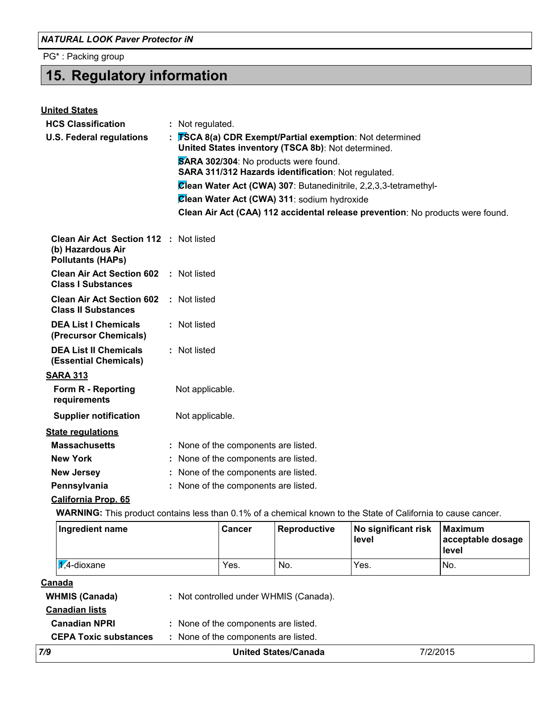PG\* : Packing group

## **15. Regulatory information**

| <b>United States</b>                                                                                          |                                      |                                       |                                      |                                                     |                                                                                |                                              |
|---------------------------------------------------------------------------------------------------------------|--------------------------------------|---------------------------------------|--------------------------------------|-----------------------------------------------------|--------------------------------------------------------------------------------|----------------------------------------------|
| <b>HCS Classification</b>                                                                                     |                                      | : Not regulated.                      |                                      |                                                     |                                                                                |                                              |
| <b>U.S. Federal regulations</b>                                                                               |                                      |                                       |                                      | United States inventory (TSCA 8b): Not determined.  | <b>TSCA 8(a) CDR Exempt/Partial exemption:</b> Not determined                  |                                              |
|                                                                                                               |                                      | SARA 302/304: No products were found. |                                      |                                                     |                                                                                |                                              |
|                                                                                                               |                                      |                                       |                                      | SARA 311/312 Hazards identification: Not regulated. |                                                                                |                                              |
|                                                                                                               |                                      |                                       |                                      |                                                     | Clean Water Act (CWA) 307: Butanedinitrile, 2,2,3,3-tetramethyl-               |                                              |
|                                                                                                               |                                      |                                       |                                      | Clean Water Act (CWA) 311: sodium hydroxide         |                                                                                |                                              |
|                                                                                                               |                                      |                                       |                                      |                                                     | Clean Air Act (CAA) 112 accidental release prevention: No products were found. |                                              |
| Clean Air Act Section 112 : Not listed<br>(b) Hazardous Air<br><b>Pollutants (HAPs)</b>                       |                                      |                                       |                                      |                                                     |                                                                                |                                              |
| <b>Clean Air Act Section 602</b><br><b>Class I Substances</b>                                                 |                                      | : Not listed                          |                                      |                                                     |                                                                                |                                              |
| <b>Clean Air Act Section 602</b><br><b>Class II Substances</b>                                                |                                      | : Not listed                          |                                      |                                                     |                                                                                |                                              |
| <b>DEA List I Chemicals</b><br>(Precursor Chemicals)                                                          |                                      | : Not listed                          |                                      |                                                     |                                                                                |                                              |
| <b>DEA List II Chemicals</b><br>(Essential Chemicals)                                                         |                                      | : Not listed                          |                                      |                                                     |                                                                                |                                              |
| <b>SARA 313</b>                                                                                               |                                      |                                       |                                      |                                                     |                                                                                |                                              |
| Form R - Reporting<br>requirements                                                                            |                                      | Not applicable.                       |                                      |                                                     |                                                                                |                                              |
| <b>Supplier notification</b>                                                                                  |                                      | Not applicable.                       |                                      |                                                     |                                                                                |                                              |
| <b>State regulations</b>                                                                                      |                                      |                                       |                                      |                                                     |                                                                                |                                              |
| <b>Massachusetts</b>                                                                                          |                                      |                                       | : None of the components are listed. |                                                     |                                                                                |                                              |
| <b>New York</b>                                                                                               | : None of the components are listed. |                                       |                                      |                                                     |                                                                                |                                              |
| <b>New Jersey</b>                                                                                             | : None of the components are listed. |                                       |                                      |                                                     |                                                                                |                                              |
| Pennsylvania                                                                                                  | : None of the components are listed. |                                       |                                      |                                                     |                                                                                |                                              |
| <b>California Prop. 65</b>                                                                                    |                                      |                                       |                                      |                                                     |                                                                                |                                              |
| WARNING: This product contains less than 0.1% of a chemical known to the State of California to cause cancer. |                                      |                                       |                                      |                                                     |                                                                                |                                              |
| Ingredient name                                                                                               |                                      |                                       | Cancer                               | Reproductive                                        | No significant risk<br>level                                                   | <b>Maximum</b><br>acceptable dosage<br>level |
| $\chi$ <sup>4</sup> -dioxane                                                                                  |                                      |                                       | Yes.                                 | No.                                                 | Yes.                                                                           | No.                                          |
| <u>Canada</u>                                                                                                 |                                      |                                       |                                      |                                                     |                                                                                |                                              |
| <b>WHMIS (Canada)</b>                                                                                         |                                      |                                       |                                      | : Not controlled under WHMIS (Canada).              |                                                                                |                                              |
| <b>Canadian lists</b>                                                                                         |                                      |                                       |                                      |                                                     |                                                                                |                                              |
| <b>Canadian NPRI</b>                                                                                          |                                      |                                       | : None of the components are listed. |                                                     |                                                                                |                                              |
| <b>CEPA Toxic substances</b>                                                                                  |                                      |                                       | : None of the components are listed. |                                                     |                                                                                |                                              |

*7/9* **United States/Canada** 7/2/2015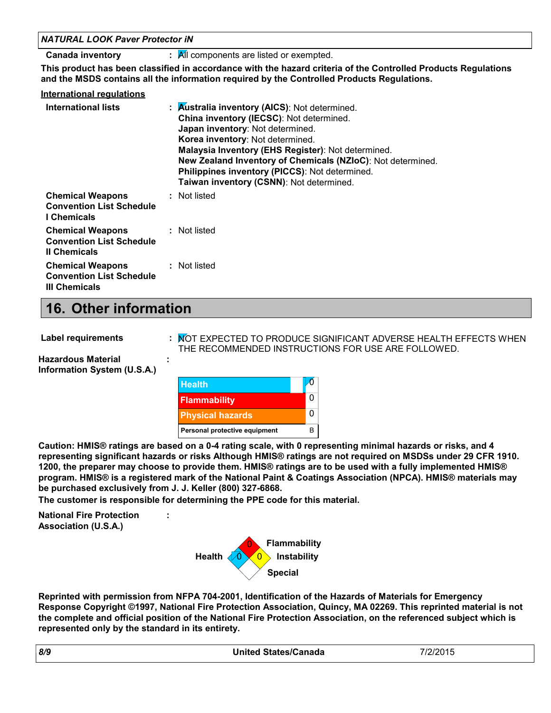| <b>NATURAL LOOK Paver Protector IN</b>                                             |                                                                                                                                                                                                                                                                                                                                                                                                             |  |  |  |
|------------------------------------------------------------------------------------|-------------------------------------------------------------------------------------------------------------------------------------------------------------------------------------------------------------------------------------------------------------------------------------------------------------------------------------------------------------------------------------------------------------|--|--|--|
| <b>Canada inventory</b>                                                            | $\mathbf{R}$ All components are listed or exempted.                                                                                                                                                                                                                                                                                                                                                         |  |  |  |
|                                                                                    | This product has been classified in accordance with the hazard criteria of the Controlled Products Regulations<br>and the MSDS contains all the information required by the Controlled Products Regulations.                                                                                                                                                                                                |  |  |  |
| <b>International requlations</b>                                                   |                                                                                                                                                                                                                                                                                                                                                                                                             |  |  |  |
| International lists                                                                | : $\overline{\mathsf{A}}$ ustralia inventory (AICS): Not determined.<br>China inventory (IECSC): Not determined.<br>Japan inventory: Not determined.<br>Korea inventory: Not determined.<br>Malaysia Inventory (EHS Register): Not determined.<br>New Zealand Inventory of Chemicals (NZIoC): Not determined.<br>Philippines inventory (PICCS): Not determined.<br>Taiwan inventory (CSNN): Not determined. |  |  |  |
| <b>Chemical Weapons</b><br><b>Convention List Schedule</b><br>I Chemicals          | : Not listed                                                                                                                                                                                                                                                                                                                                                                                                |  |  |  |
| <b>Chemical Weapons</b><br><b>Convention List Schedule</b><br><b>II Chemicals</b>  | : Not listed                                                                                                                                                                                                                                                                                                                                                                                                |  |  |  |
| <b>Chemical Weapons</b><br><b>Convention List Schedule</b><br><b>III Chemicals</b> | : Not listed                                                                                                                                                                                                                                                                                                                                                                                                |  |  |  |

### **16. Other information**

| Label requirements                                       | : MOT EXPECTED TO PRODUCE SIGNIFICANT ADVERSE HEALTH EFFECTS WHEN<br>THE RECOMMENDED INSTRUCTIONS FOR USE ARE FOLLOWED. |  |
|----------------------------------------------------------|-------------------------------------------------------------------------------------------------------------------------|--|
| <b>Hazardous Material</b><br>Information System (U.S.A.) |                                                                                                                         |  |
|                                                          | $\mathcal{O}$<br><b>Health</b>                                                                                          |  |

| <b>Health</b>                 |   |  |
|-------------------------------|---|--|
| <b>Flammability</b>           | 0 |  |
| <b>Physical hazards</b>       | 0 |  |
| Personal protective equipment |   |  |

**Caution: HMIS® ratings are based on a 0-4 rating scale, with 0 representing minimal hazards or risks, and 4 representing significant hazards or risks Although HMIS® ratings are not required on MSDSs under 29 CFR 1910. 1200, the preparer may choose to provide them. HMIS® ratings are to be used with a fully implemented HMIS® program. HMIS® is a registered mark of the National Paint & Coatings Association (NPCA). HMIS® materials may be purchased exclusively from J. J. Keller (800) 327-6868.**

**The customer is responsible for determining the PPE code for this material.**

**:**

**National Fire Protection Association (U.S.A.)**



**Reprinted with permission from NFPA 704-2001, Identification of the Hazards of Materials for Emergency Response Copyright ©1997, National Fire Protection Association, Quincy, MA 02269. This reprinted material is not the complete and official position of the National Fire Protection Association, on the referenced subject which is represented only by the standard in its entirety.**

| 8/9 | <b>United States/Canada</b> | 7/2/2015 |
|-----|-----------------------------|----------|
|     |                             |          |